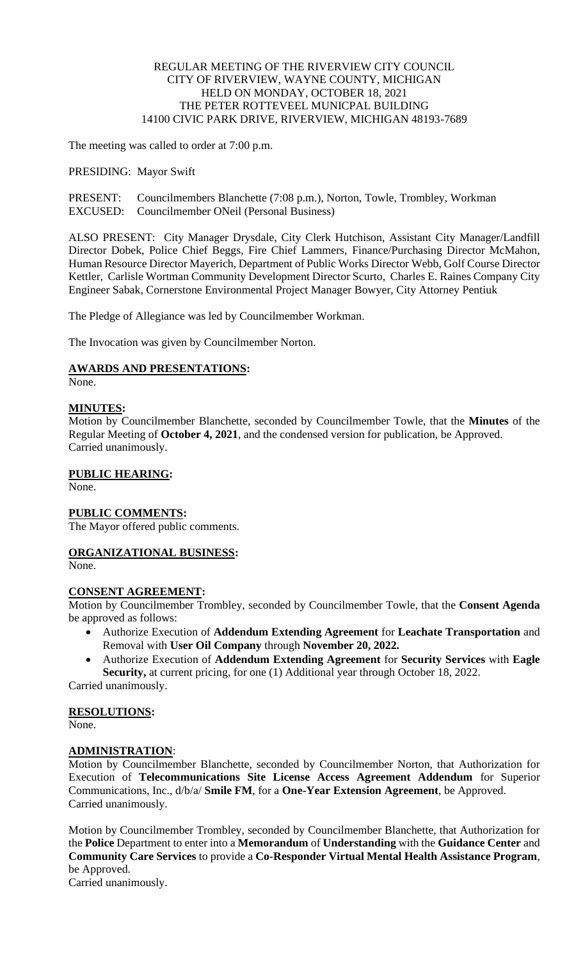## REGULAR MEETING OF THE RIVERVIEW CITY COUNCIL CITY OF RIVERVIEW, WAYNE COUNTY, MICHIGAN HELD ON MONDAY, OCTOBER 18, 2021 THE PETER ROTTEVEEL MUNICPAL BUILDING 14100 CIVIC PARK DRIVE, RIVERVIEW, MICHIGAN 48193-7689

The meeting was called to order at 7:00 p.m.

PRESIDING: Mayor Swift

PRESENT: Councilmembers Blanchette (7:08 p.m.), Norton, Towle, Trombley, Workman EXCUSED: Councilmember ONeil (Personal Business)

ALSO PRESENT: City Manager Drysdale, City Clerk Hutchison, Assistant City Manager/Landfill Director Dobek, Police Chief Beggs, Fire Chief Lammers, Finance/Purchasing Director McMahon, Human Resource Director Mayerich, Department of Public Works Director Webb, Golf Course Director Kettler, Carlisle Wortman Community Development Director Scurto, Charles E. Raines Company City Engineer Sabak, Cornerstone Environmental Project Manager Bowyer, City Attorney Pentiuk

The Pledge of Allegiance was led by Councilmember Workman.

The Invocation was given by Councilmember Norton.

## **AWARDS AND PRESENTATIONS:**

None.

## **MINUTES:**

Motion by Councilmember Blanchette, seconded by Councilmember Towle, that the **Minutes** of the Regular Meeting of **October 4, 2021**, and the condensed version for publication, be Approved. Carried unanimously.

## **PUBLIC HEARING:**

None.

## **PUBLIC COMMENTS:**

The Mayor offered public comments.

# **ORGANIZATIONAL BUSINESS:**

None.

## **CONSENT AGREEMENT:**

Motion by Councilmember Trombley, seconded by Councilmember Towle, that the **Consent Agenda** be approved as follows:

- Authorize Execution of **Addendum Extending Agreement** for **Leachate Transportation** and Removal with **User Oil Company** through **November 20, 2022.**
- Authorize Execution of **Addendum Extending Agreement** for **Security Services** with **Eagle Security,** at current pricing, for one (1) Additional year through October 18, 2022. Carried unanimously.

**RESOLUTIONS:**

None.

# **ADMINISTRATION**:

Motion by Councilmember Blanchette, seconded by Councilmember Norton, that Authorization for Execution of **Telecommunications Site License Access Agreement Addendum** for Superior Communications, Inc., d/b/a/ **Smile FM**, for a **One-Year Extension Agreement**, be Approved. Carried unanimously.

Motion by Councilmember Trombley, seconded by Councilmember Blanchette, that Authorization for the **Police** Department to enter into a **Memorandum** of **Understanding** with the **Guidance Center** and **Community Care Services** to provide a **Co-Responder Virtual Mental Health Assistance Program**, be Approved.

Carried unanimously.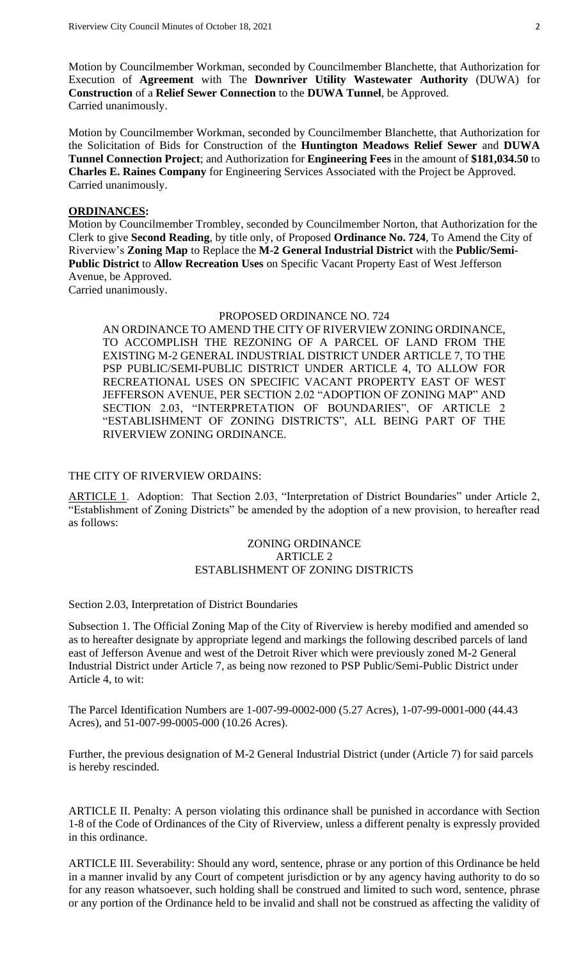Motion by Councilmember Workman, seconded by Councilmember Blanchette, that Authorization for Execution of **Agreement** with The **Downriver Utility Wastewater Authority** (DUWA) for **Construction** of a **Relief Sewer Connection** to the **DUWA Tunnel**, be Approved. Carried unanimously.

Motion by Councilmember Workman, seconded by Councilmember Blanchette, that Authorization for the Solicitation of Bids for Construction of the **Huntington Meadows Relief Sewer** and **DUWA Tunnel Connection Project**; and Authorization for **Engineering Fees** in the amount of **\$181,034.50** to **Charles E. Raines Company** for Engineering Services Associated with the Project be Approved. Carried unanimously.

### **ORDINANCES:**

Motion by Councilmember Trombley, seconded by Councilmember Norton, that Authorization for the Clerk to give **Second Reading**, by title only, of Proposed **Ordinance No. 724**, To Amend the City of Riverview's **Zoning Map** to Replace the **M-2 General Industrial District** with the **Public/Semi-Public District** to **Allow Recreation Uses** on Specific Vacant Property East of West Jefferson Avenue, be Approved. Carried unanimously.

PROPOSED ORDINANCE NO. 724

AN ORDINANCE TO AMEND THE CITY OF RIVERVIEW ZONING ORDINANCE, TO ACCOMPLISH THE REZONING OF A PARCEL OF LAND FROM THE EXISTING M-2 GENERAL INDUSTRIAL DISTRICT UNDER ARTICLE 7, TO THE PSP PUBLIC/SEMI-PUBLIC DISTRICT UNDER ARTICLE 4, TO ALLOW FOR RECREATIONAL USES ON SPECIFIC VACANT PROPERTY EAST OF WEST JEFFERSON AVENUE, PER SECTION 2.02 "ADOPTION OF ZONING MAP" AND SECTION 2.03, "INTERPRETATION OF BOUNDARIES", OF ARTICLE 2 "ESTABLISHMENT OF ZONING DISTRICTS", ALL BEING PART OF THE RIVERVIEW ZONING ORDINANCE.

### THE CITY OF RIVERVIEW ORDAINS:

ARTICLE 1. Adoption: That Section 2.03, "Interpretation of District Boundaries" under Article 2, "Establishment of Zoning Districts" be amended by the adoption of a new provision, to hereafter read as follows:

## ZONING ORDINANCE ARTICLE 2 ESTABLISHMENT OF ZONING DISTRICTS

### Section 2.03, Interpretation of District Boundaries

Subsection 1. The Official Zoning Map of the City of Riverview is hereby modified and amended so as to hereafter designate by appropriate legend and markings the following described parcels of land east of Jefferson Avenue and west of the Detroit River which were previously zoned M-2 General Industrial District under Article 7, as being now rezoned to PSP Public/Semi-Public District under Article 4, to wit:

The Parcel Identification Numbers are 1-007-99-0002-000 (5.27 Acres), 1-07-99-0001-000 (44.43 Acres), and 51-007-99-0005-000 (10.26 Acres).

Further, the previous designation of M-2 General Industrial District (under (Article 7) for said parcels is hereby rescinded.

ARTICLE II. Penalty: A person violating this ordinance shall be punished in accordance with Section 1-8 of the Code of Ordinances of the City of Riverview, unless a different penalty is expressly provided in this ordinance.

ARTICLE III. Severability: Should any word, sentence, phrase or any portion of this Ordinance be held in a manner invalid by any Court of competent jurisdiction or by any agency having authority to do so for any reason whatsoever, such holding shall be construed and limited to such word, sentence, phrase or any portion of the Ordinance held to be invalid and shall not be construed as affecting the validity of